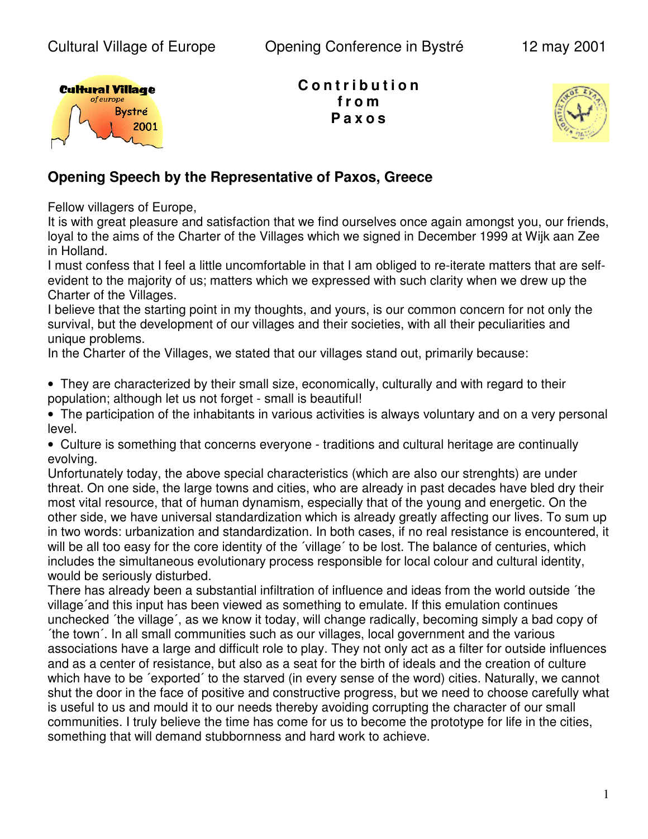

**C o n t r i b u t i o n f r o m P a x o s**



## **Opening Speech by the Representative of Paxos, Greece**

Fellow villagers of Europe,

It is with great pleasure and satisfaction that we find ourselves once again amongst you, our friends, loyal to the aims of the Charter of the Villages which we signed in December 1999 at Wijk aan Zee in Holland.

I must confess that I feel a little uncomfortable in that I am obliged to re-iterate matters that are selfevident to the majority of us; matters which we expressed with such clarity when we drew up the Charter of the Villages.

I believe that the starting point in my thoughts, and yours, is our common concern for not only the survival, but the development of our villages and their societies, with all their peculiarities and unique problems.

In the Charter of the Villages, we stated that our villages stand out, primarily because:

• They are characterized by their small size, economically, culturally and with regard to their population; although let us not forget - small is beautiful!

• The participation of the inhabitants in various activities is always voluntary and on a very personal level.

• Culture is something that concerns everyone - traditions and cultural heritage are continually evolving.

Unfortunately today, the above special characteristics (which are also our strenghts) are under threat. On one side, the large towns and cities, who are already in past decades have bled dry their most vital resource, that of human dynamism, especially that of the young and energetic. On the other side, we have universal standardization which is already greatly affecting our lives. To sum up in two words: urbanization and standardization. In both cases, if no real resistance is encountered, it will be all too easy for the core identity of the 'village' to be lost. The balance of centuries, which includes the simultaneous evolutionary process responsible for local colour and cultural identity, would be seriously disturbed.

There has already been a substantial infiltration of influence and ideas from the world outside ´the village´and this input has been viewed as something to emulate. If this emulation continues unchecked ´the village´, as we know it today, will change radically, becoming simply a bad copy of ´the town´. In all small communities such as our villages, local government and the various associations have a large and difficult role to play. They not only act as a filter for outside influences and as a center of resistance, but also as a seat for the birth of ideals and the creation of culture which have to be 'exported' to the starved (in every sense of the word) cities. Naturally, we cannot shut the door in the face of positive and constructive progress, but we need to choose carefully what is useful to us and mould it to our needs thereby avoiding corrupting the character of our small communities. I truly believe the time has come for us to become the prototype for life in the cities, something that will demand stubbornness and hard work to achieve.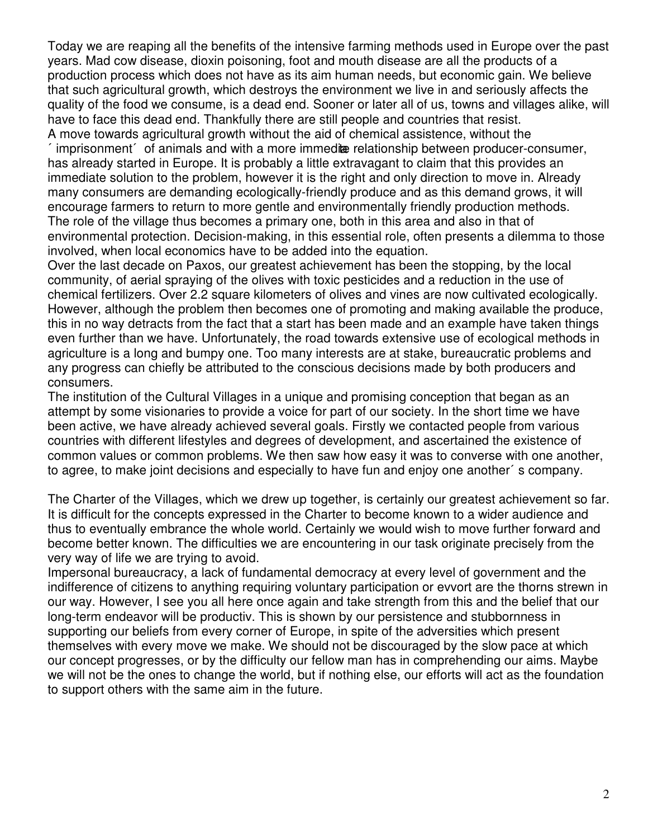Today we are reaping all the benefits of the intensive farming methods used in Europe over the past years. Mad cow disease, dioxin poisoning, foot and mouth disease are all the products of a production process which does not have as its aim human needs, but economic gain. We believe that such agricultural growth, which destroys the environment we live in and seriously affects the quality of the food we consume, is a dead end. Sooner or later all of us, towns and villages alike, will have to face this dead end. Thankfully there are still people and countries that resist. A move towards agricultural growth without the aid of chemical assistence, without the

imprisonment  $\epsilon$  of animals and with a more immedite relationship between producer-consumer, has already started in Europe. It is probably a little extravagant to claim that this provides an immediate solution to the problem, however it is the right and only direction to move in. Already many consumers are demanding ecologically-friendly produce and as this demand grows, it will encourage farmers to return to more gentle and environmentally friendly production methods. The role of the village thus becomes a primary one, both in this area and also in that of environmental protection. Decision-making, in this essential role, often presents a dilemma to those involved, when local economics have to be added into the equation.

Over the last decade on Paxos, our greatest achievement has been the stopping, by the local community, of aerial spraying of the olives with toxic pesticides and a reduction in the use of chemical fertilizers. Over 2.2 square kilometers of olives and vines are now cultivated ecologically. However, although the problem then becomes one of promoting and making available the produce, this in no way detracts from the fact that a start has been made and an example have taken things even further than we have. Unfortunately, the road towards extensive use of ecological methods in agriculture is a long and bumpy one. Too many interests are at stake, bureaucratic problems and any progress can chiefly be attributed to the conscious decisions made by both producers and consumers.

The institution of the Cultural Villages in a unique and promising conception that began as an attempt by some visionaries to provide a voice for part of our society. In the short time we have been active, we have already achieved several goals. Firstly we contacted people from various countries with different lifestyles and degrees of development, and ascertained the existence of common values or common problems. We then saw how easy it was to converse with one another, to agree, to make joint decisions and especially to have fun and enjoy one another´s company.

The Charter of the Villages, which we drew up together, is certainly our greatest achievement so far. It is difficult for the concepts expressed in the Charter to become known to a wider audience and thus to eventually embrance the whole world. Certainly we would wish to move further forward and become better known. The difficulties we are encountering in our task originate precisely from the very way of life we are trying to avoid.

Impersonal bureaucracy, a lack of fundamental democracy at every level of government and the indifference of citizens to anything requiring voluntary participation or evvort are the thorns strewn in our way. However, I see you all here once again and take strength from this and the belief that our long-term endeavor will be productiv. This is shown by our persistence and stubbornness in supporting our beliefs from every corner of Europe, in spite of the adversities which present themselves with every move we make. We should not be discouraged by the slow pace at which our concept progresses, or by the difficulty our fellow man has in comprehending our aims. Maybe we will not be the ones to change the world, but if nothing else, our efforts will act as the foundation to support others with the same aim in the future.